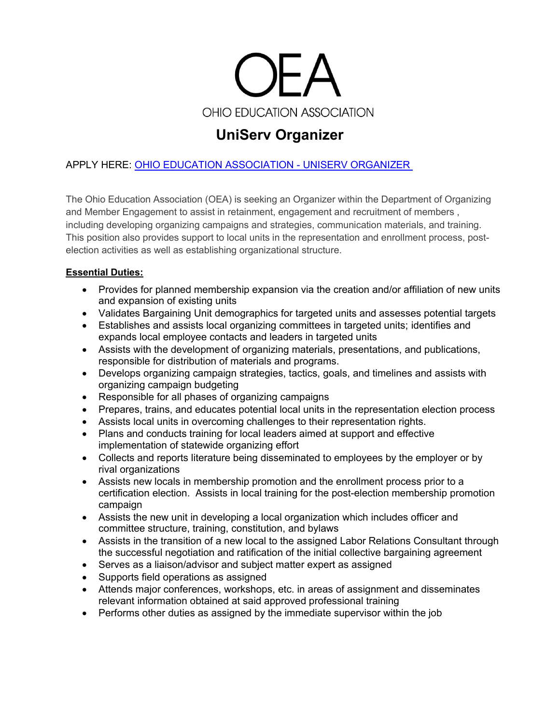

# **UniServ Organizer**

# APPLY HERE: [OHIO EDUCATION ASSOCIATION -](https://workforcenow.adp.com/mascsr/default/mdf/recruitment/recruitment.html?cid=14fe592a-2d8f-43cd-942d-7683c31eca04&ccId=19000101_000001&jobId=438975&source=CC2&lang=en_US) UNISERV ORGANIZER

The Ohio Education Association (OEA) is seeking an Organizer within the Department of Organizing and Member Engagement to assist in retainment, engagement and recruitment of members , including developing organizing campaigns and strategies, communication materials, and training. This position also provides support to local units in the representation and enrollment process, postelection activities as well as establishing organizational structure.

## **Essential Duties:**

- Provides for planned membership expansion via the creation and/or affiliation of new units and expansion of existing units
- Validates Bargaining Unit demographics for targeted units and assesses potential targets
- Establishes and assists local organizing committees in targeted units; identifies and expands local employee contacts and leaders in targeted units
- Assists with the development of organizing materials, presentations, and publications, responsible for distribution of materials and programs.
- Develops organizing campaign strategies, tactics, goals, and timelines and assists with organizing campaign budgeting
- Responsible for all phases of organizing campaigns
- Prepares, trains, and educates potential local units in the representation election process
- Assists local units in overcoming challenges to their representation rights.
- Plans and conducts training for local leaders aimed at support and effective implementation of statewide organizing effort
- Collects and reports literature being disseminated to employees by the employer or by rival organizations
- Assists new locals in membership promotion and the enrollment process prior to a certification election. Assists in local training for the post-election membership promotion campaign
- Assists the new unit in developing a local organization which includes officer and committee structure, training, constitution, and bylaws
- Assists in the transition of a new local to the assigned Labor Relations Consultant through the successful negotiation and ratification of the initial collective bargaining agreement
- Serves as a liaison/advisor and subject matter expert as assigned
- Supports field operations as assigned
- Attends major conferences, workshops, etc. in areas of assignment and disseminates relevant information obtained at said approved professional training
- $\bullet$  Performs other duties as assigned by the immediate supervisor within the job